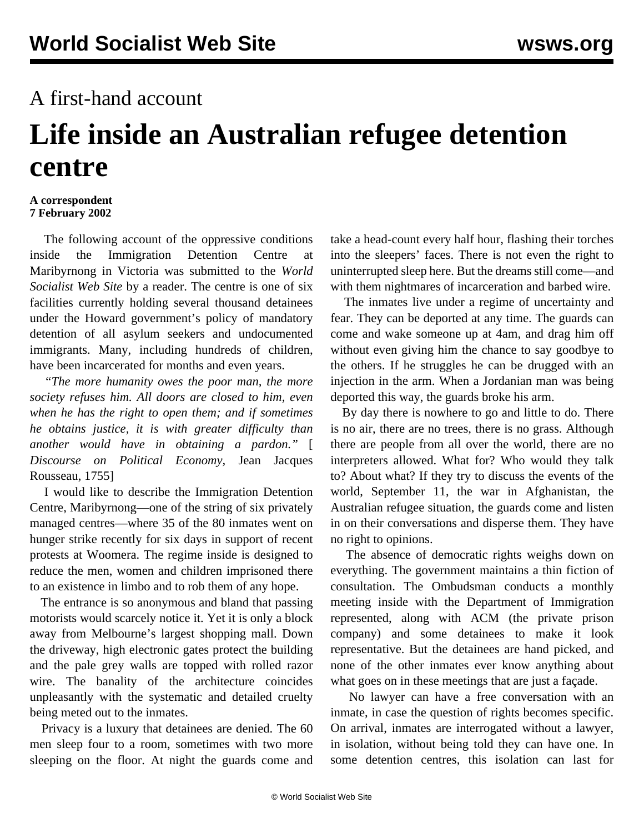## A first-hand account

## **Life inside an Australian refugee detention centre**

## **A correspondent 7 February 2002**

 The following account of the oppressive conditions inside the Immigration Detention Centre at Maribyrnong in Victoria was submitted to the *World Socialist Web Site* by a reader. The centre is one of six facilities currently holding several thousand detainees under the Howard government's policy of mandatory detention of all asylum seekers and undocumented immigrants. Many, including hundreds of children, have been incarcerated for months and even years.

 *"The more humanity owes the poor man, the more society refuses him. All doors are closed to him, even when he has the right to open them; and if sometimes he obtains justice, it is with greater difficulty than another would have in obtaining a pardon."* [ *Discourse on Political Economy,* Jean Jacques Rousseau, 1755]

 I would like to describe the Immigration Detention Centre, Maribyrnong—one of the string of six privately managed centres—where 35 of the 80 inmates went on hunger strike recently for six days in support of recent protests at Woomera. The regime inside is designed to reduce the men, women and children imprisoned there to an existence in limbo and to rob them of any hope.

 The entrance is so anonymous and bland that passing motorists would scarcely notice it. Yet it is only a block away from Melbourne's largest shopping mall. Down the driveway, high electronic gates protect the building and the pale grey walls are topped with rolled razor wire. The banality of the architecture coincides unpleasantly with the systematic and detailed cruelty being meted out to the inmates.

 Privacy is a luxury that detainees are denied. The 60 men sleep four to a room, sometimes with two more sleeping on the floor. At night the guards come and take a head-count every half hour, flashing their torches into the sleepers' faces. There is not even the right to uninterrupted sleep here. But the dreams still come—and with them nightmares of incarceration and barbed wire.

 The inmates live under a regime of uncertainty and fear. They can be deported at any time. The guards can come and wake someone up at 4am, and drag him off without even giving him the chance to say goodbye to the others. If he struggles he can be drugged with an injection in the arm. When a Jordanian man was being deported this way, the guards broke his arm.

 By day there is nowhere to go and little to do. There is no air, there are no trees, there is no grass. Although there are people from all over the world, there are no interpreters allowed. What for? Who would they talk to? About what? If they try to discuss the events of the world, September 11, the war in Afghanistan, the Australian refugee situation, the guards come and listen in on their conversations and disperse them. They have no right to opinions.

 The absence of democratic rights weighs down on everything. The government maintains a thin fiction of consultation. The Ombudsman conducts a monthly meeting inside with the Department of Immigration represented, along with ACM (the private prison company) and some detainees to make it look representative. But the detainees are hand picked, and none of the other inmates ever know anything about what goes on in these meetings that are just a façade.

 No lawyer can have a free conversation with an inmate, in case the question of rights becomes specific. On arrival, inmates are interrogated without a lawyer, in isolation, without being told they can have one. In some detention centres, this isolation can last for